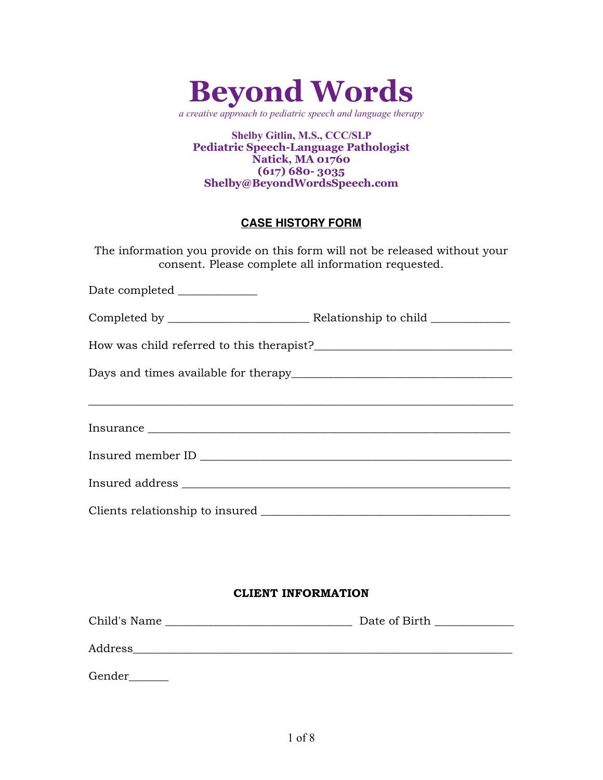

*a creative approach to pediatric speech and language therapy*

**Shelby Gitlin, M.S., CCC/SLP Pediatric Speech-Language Pathologist Natick, MA 01760 (617) 680- 3035 Shelby@BeyondWordsSpeech.com**

# **CASE HISTORY FORM**

The information you provide on this form will not be released without your consent. Please complete all information requested.

Date completed \_\_\_\_\_\_\_\_\_\_\_\_\_\_

Completed by \_\_\_\_\_\_\_\_\_\_\_\_\_\_\_\_\_\_\_\_\_\_\_\_\_ Relationship to child \_\_\_\_\_\_\_\_\_\_\_\_\_\_

How was child referred to this therapist?

Days and times available for therapy\_\_\_\_\_\_\_\_\_\_\_\_\_\_\_\_\_\_\_\_\_\_\_\_\_\_\_\_\_\_\_\_\_\_\_\_\_\_\_

Insurance \_\_\_\_\_\_\_\_\_\_\_\_\_\_\_\_\_\_\_\_\_\_\_\_\_\_\_\_\_\_\_\_\_\_\_\_\_\_\_\_\_\_\_\_\_\_\_\_\_\_\_\_\_\_\_\_\_\_\_\_\_\_\_\_

\_\_\_\_\_\_\_\_\_\_\_\_\_\_\_\_\_\_\_\_\_\_\_\_\_\_\_\_\_\_\_\_\_\_\_\_\_\_\_\_\_\_\_\_\_\_\_\_\_\_\_\_\_\_\_\_\_\_\_\_\_\_\_\_\_\_\_\_\_\_\_\_\_\_\_

| Insured member ID |  |  |
|-------------------|--|--|
|                   |  |  |

Clients relationship to insured \_\_\_\_\_\_\_\_\_\_\_\_\_\_\_\_\_\_\_\_\_\_\_\_\_\_\_\_\_\_\_\_\_\_\_\_\_\_\_\_\_\_\_\_

Insured address  $\blacksquare$ 

#### **CLIENT INFORMATION**

| Child's Name | Date of Birth |
|--------------|---------------|
| Address      |               |
| Gender       |               |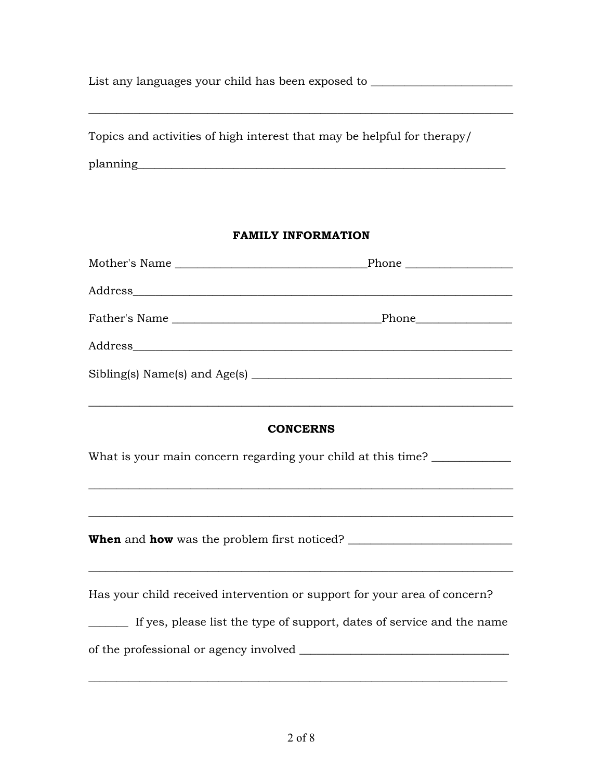List any languages your child has been exposed to \_\_\_\_\_\_\_\_\_\_\_\_\_\_\_\_\_\_\_\_\_\_\_\_\_\_\_\_\_\_

\_\_\_\_\_\_\_\_\_\_\_\_\_\_\_\_\_\_\_\_\_\_\_\_\_\_\_\_\_\_\_\_\_\_\_\_\_\_\_\_\_\_\_\_\_\_\_\_\_\_\_\_\_\_\_\_\_\_\_\_\_\_\_\_\_\_\_\_\_\_\_\_\_\_\_

| Topics and activities of high interest that may be helpful for therapy/ |  |
|-------------------------------------------------------------------------|--|
| planning                                                                |  |

## **FAMILY INFORMATION**

#### **CONCERNS**

\_\_\_\_\_\_\_\_\_\_\_\_\_\_\_\_\_\_\_\_\_\_\_\_\_\_\_\_\_\_\_\_\_\_\_\_\_\_\_\_\_\_\_\_\_\_\_\_\_\_\_\_\_\_\_\_\_\_\_\_\_\_\_\_\_\_\_\_\_\_\_\_\_\_\_

What is your main concern regarding your child at this time? \_\_\_\_\_\_\_\_\_\_\_\_\_\_\_\_\_\_\_

\_\_\_\_\_\_\_\_\_\_\_\_\_\_\_\_\_\_\_\_\_\_\_\_\_\_\_\_\_\_\_\_\_\_\_\_\_\_\_\_\_\_\_\_\_\_\_\_\_\_\_\_\_\_\_\_\_\_\_\_\_\_\_\_\_\_\_\_\_\_\_\_\_\_\_

\_\_\_\_\_\_\_\_\_\_\_\_\_\_\_\_\_\_\_\_\_\_\_\_\_\_\_\_\_\_\_\_\_\_\_\_\_\_\_\_\_\_\_\_\_\_\_\_\_\_\_\_\_\_\_\_\_\_\_\_\_\_\_\_\_\_\_\_\_\_\_\_\_\_\_

**When** and **how** was the problem first noticed? \_\_\_\_\_\_\_\_\_\_\_\_\_\_\_\_\_\_\_\_\_\_\_\_\_\_\_\_\_\_\_\_\_\_

Has your child received intervention or support for your area of concern?

\_\_\_\_\_\_\_ If yes, please list the type of support, dates of service and the name

\_\_\_\_\_\_\_\_\_\_\_\_\_\_\_\_\_\_\_\_\_\_\_\_\_\_\_\_\_\_\_\_\_\_\_\_\_\_\_\_\_\_\_\_\_\_\_\_\_\_\_\_\_\_\_\_\_\_\_\_\_\_\_\_\_\_\_\_\_\_\_\_\_\_

\_\_\_\_\_\_\_\_\_\_\_\_\_\_\_\_\_\_\_\_\_\_\_\_\_\_\_\_\_\_\_\_\_\_\_\_\_\_\_\_\_\_\_\_\_\_\_\_\_\_\_\_\_\_\_\_\_\_\_\_\_\_\_\_\_\_\_\_\_\_\_\_\_\_\_

of the professional or agency involved \_\_\_\_\_\_\_\_\_\_\_\_\_\_\_\_\_\_\_\_\_\_\_\_\_\_\_\_\_\_\_\_\_\_\_\_\_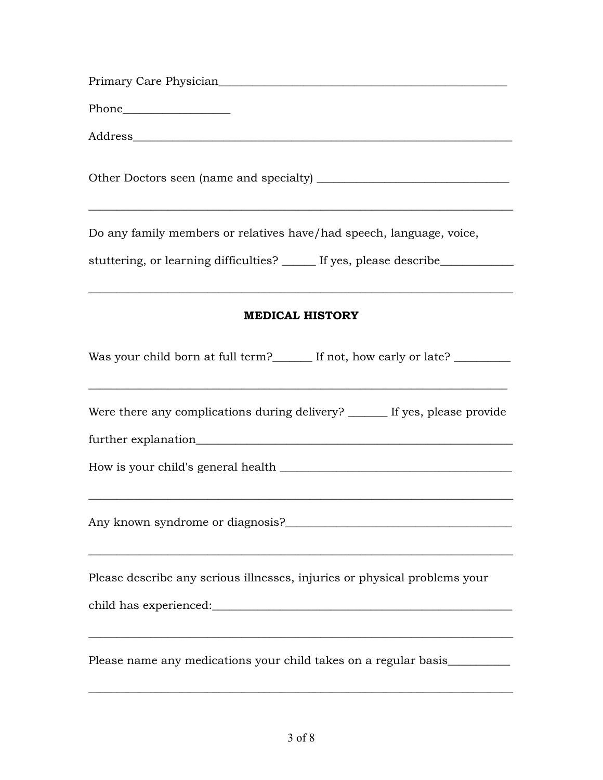| Do any family members or relatives have/had speech, language, voice,                                                                                            |
|-----------------------------------------------------------------------------------------------------------------------------------------------------------------|
| stuttering, or learning difficulties? _____ If yes, please describe____________                                                                                 |
| <u> 1989 - Johann Stoff, amerikansk politiker (d. 1989)</u>                                                                                                     |
| <b>MEDICAL HISTORY</b>                                                                                                                                          |
| Was your child born at full term?_______ If not, how early or late? ___________                                                                                 |
| ,我们也不会有什么。""我们的人,我们也不会有什么?""我们的人,我们也不会有什么?""我们的人,我们也不会有什么?""我们的人,我们也不会有什么?""我们的人<br>Were there any complications during delivery? ______ If yes, please provide |
|                                                                                                                                                                 |
| Any known syndrome or diagnosis?                                                                                                                                |
| Please describe any serious illnesses, injuries or physical problems your                                                                                       |
| Please name any medications your child takes on a regular basis_                                                                                                |

\_\_\_\_\_\_\_\_\_\_\_\_\_\_\_\_\_\_\_\_\_\_\_\_\_\_\_\_\_\_\_\_\_\_\_\_\_\_\_\_\_\_\_\_\_\_\_\_\_\_\_\_\_\_\_\_\_\_\_\_\_\_\_\_\_\_\_\_\_\_\_\_\_\_\_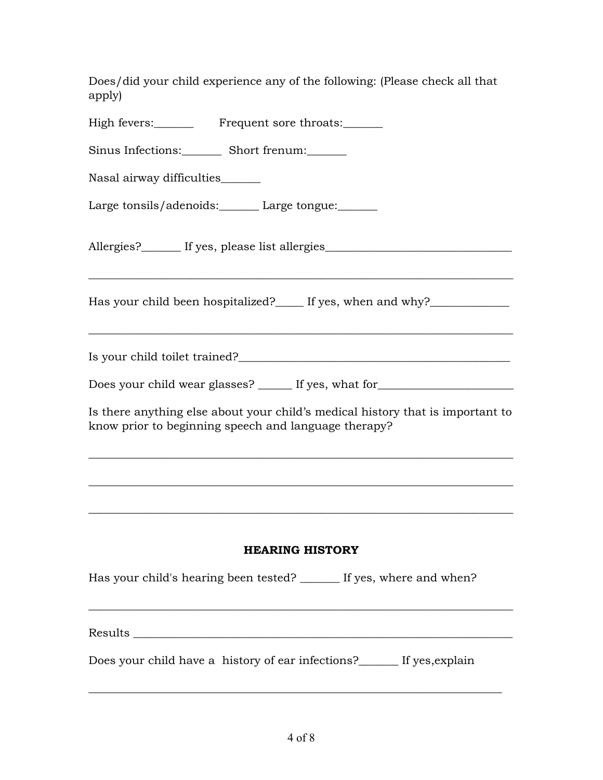| Does/did your child experience any of the following: (Please check all that<br>apply)                                                                                                        |
|----------------------------------------------------------------------------------------------------------------------------------------------------------------------------------------------|
| High fevers:___________ Frequent sore throats:_______                                                                                                                                        |
| Sinus Infections:_________ Short frenum:_______                                                                                                                                              |
| Nasal airway difficulties______                                                                                                                                                              |
| Large tonsils/adenoids: Large tongue:                                                                                                                                                        |
| Allergies?________ If yes, please list allergies________________________________                                                                                                             |
| Has your child been hospitalized?______ If yes, when and why?___________________<br><u> 1989 - Johann Stoff, amerikansk politiker (d. 1989)</u>                                              |
|                                                                                                                                                                                              |
| Does your child wear glasses? _______ If yes, what for__________________________                                                                                                             |
| Is there anything else about your child's medical history that is important to<br>know prior to beginning speech and language therapy?                                                       |
|                                                                                                                                                                                              |
|                                                                                                                                                                                              |
|                                                                                                                                                                                              |
| <b>HEARING HISTORY</b>                                                                                                                                                                       |
| Has your child's hearing been tested? ______ If yes, where and when?<br><u> 1989 - Jan James James James James James James James James James James James James James James James James J</u> |
|                                                                                                                                                                                              |
| Does your child have a history of ear infections? If yes, explain                                                                                                                            |
|                                                                                                                                                                                              |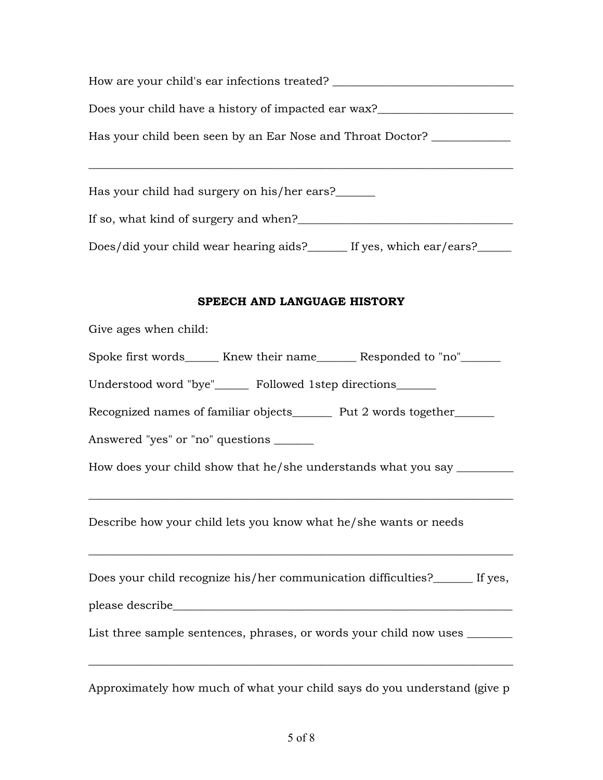| How are your child's ear infections treated? ___________________________________ |
|----------------------------------------------------------------------------------|
| Does your child have a history of impacted ear wax?_____________________________ |
| Has your child been seen by an Ear Nose and Throat Doctor? _______________       |
| Has your child had surgery on his/her ears?                                      |
|                                                                                  |
| Does/did your child wear hearing aids?______ If yes, which ear/ears?_____        |
| SPEECH AND LANGUAGE HISTORY                                                      |
| Give ages when child:                                                            |
| Spoke first words______ Knew their name_______ Responded to "no"_______          |
| Understood word "bye"______ Followed 1step directions_______                     |
| Recognized names of familiar objects_______ Put 2 words together_____            |
| Answered "yes" or "no" questions ______                                          |
| How does your child show that he/she understands what you say ________           |
| Describe how your child lets you know what he/she wants or needs                 |
| Does your child recognize his/her communication difficulties? If yes,            |
|                                                                                  |
| List three sample sentences, phrases, or words your child now uses ________      |
| Approximately how much of what your child says do you understand (give p         |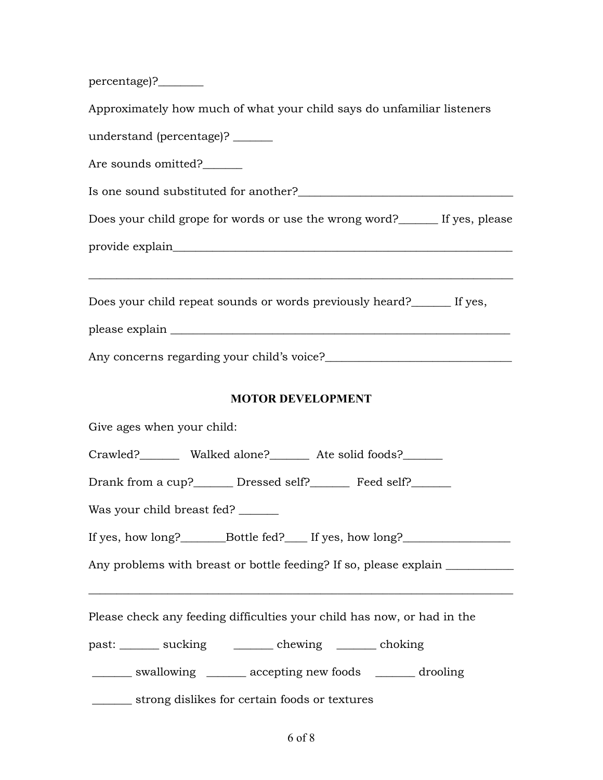percentage)?\_\_\_\_\_\_\_\_

Approximately how much of what your child says do unfamiliar listeners understand (percentage)? \_\_\_\_\_\_\_ Are sounds omitted?\_\_\_\_\_\_\_ Is one sound substituted for another? Does your child grope for words or use the wrong word?\_\_\_\_\_\_\_ If yes, please provide explain \_\_\_\_\_\_\_\_\_\_\_\_\_\_\_\_\_\_\_\_\_\_\_\_\_\_\_\_\_\_\_\_\_\_\_\_\_\_\_\_\_\_\_\_\_\_\_\_\_\_\_\_\_\_\_\_\_\_\_\_\_\_\_\_\_\_\_\_\_\_\_\_\_\_\_ Does your child repeat sounds or words previously heard?\_\_\_\_\_\_\_ If yes, please explain \_\_\_\_\_\_\_\_\_\_\_\_\_\_\_\_\_\_\_\_\_\_\_\_\_\_\_\_\_\_\_\_\_\_\_\_\_\_\_\_\_\_\_\_\_\_\_\_\_\_\_\_\_\_\_\_\_\_\_\_ Any concerns regarding your child's voice?\_\_\_\_\_\_\_\_\_\_\_\_\_\_\_\_\_\_\_\_\_\_\_\_\_\_\_\_\_\_\_\_\_ **MOTOR DEVELOPMENT** Give ages when your child: Crawled? Walked alone? Ate solid foods? Drank from a cup?\_\_\_\_\_\_\_\_ Dressed self?\_\_\_\_\_\_\_\_ Feed self?\_\_\_\_\_\_\_ Was your child breast fed? \_\_\_\_\_\_\_ If yes, how long?  $Bottle fed?$  If yes, how long? Any problems with breast or bottle feeding? If so, please explain \_\_\_\_\_\_\_\_\_\_\_\_\_\_ \_\_\_\_\_\_\_\_\_\_\_\_\_\_\_\_\_\_\_\_\_\_\_\_\_\_\_\_\_\_\_\_\_\_\_\_\_\_\_\_\_\_\_\_\_\_\_\_\_\_\_\_\_\_\_\_\_\_\_\_\_\_\_\_\_\_\_\_\_\_\_\_\_\_\_ Please check any feeding difficulties your child has now, or had in the past: \_\_\_\_\_\_\_ sucking \_\_\_\_\_\_\_ chewing \_\_\_\_\_\_\_ choking \_\_\_\_\_\_\_ swallowing \_\_\_\_\_\_\_ accepting new foods \_\_\_\_\_\_\_ drooling \_\_\_\_\_\_\_ strong dislikes for certain foods or textures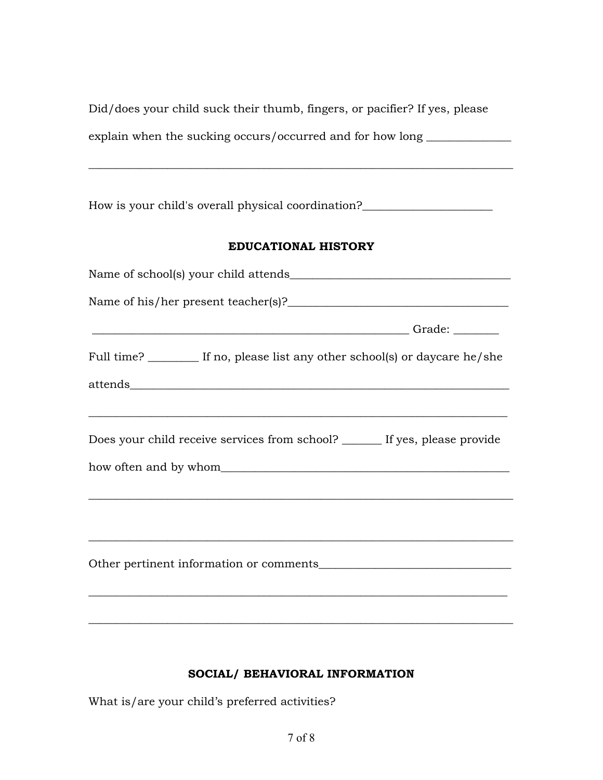Did/does your child suck their thumb, fingers, or pacifier? If yes, please explain when the sucking occurs/occurred and for how long \_\_\_\_\_\_\_\_\_\_\_\_\_\_\_\_

\_\_\_\_\_\_\_\_\_\_\_\_\_\_\_\_\_\_\_\_\_\_\_\_\_\_\_\_\_\_\_\_\_\_\_\_\_\_\_\_\_\_\_\_\_\_\_\_\_\_\_\_\_\_\_\_\_\_\_\_\_\_\_\_\_\_\_\_\_\_\_\_\_\_\_

How is your child's overall physical coordination?\_\_\_\_\_\_\_\_\_\_\_\_\_\_\_\_\_\_\_\_\_\_\_\_\_\_\_\_\_\_

## **EDUCATIONAL HISTORY**

| Full time? _________ If no, please list any other school(s) or daycare he/she                                                                                    |
|------------------------------------------------------------------------------------------------------------------------------------------------------------------|
|                                                                                                                                                                  |
| ,我们也不能在这里的时候,我们也不能在这里的时候,我们也不能会在这里的时候,我们也不能会在这里的时候,我们也不能会在这里的时候,我们也不能会在这里的时候,我们也不<br>Does your child receive services from school? ______ If yes, please provide |
|                                                                                                                                                                  |
| <u> 1989 - Johann Stoff, deutscher Stoff, der Stoff, der Stoff, der Stoff, der Stoff, der Stoff, der Stoff, der S</u>                                            |
|                                                                                                                                                                  |

## **SOCIAL/ BEHAVIORAL INFORMATION**

What is/are your child's preferred activities?